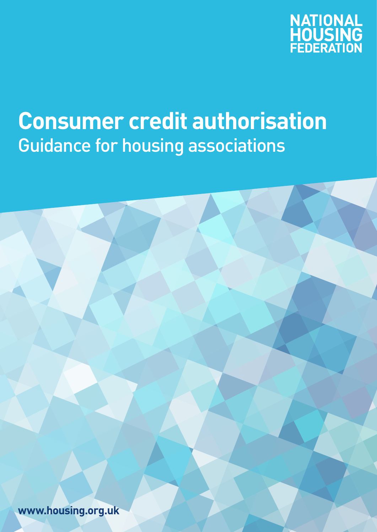

## **Consumer credit authorisation** Guidance for housing associations

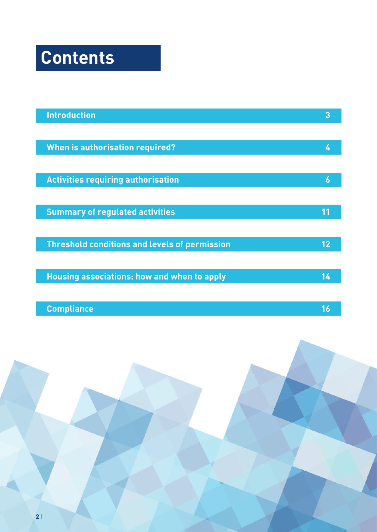# **Contents**

| <b>Introduction</b>                                  | 3  |
|------------------------------------------------------|----|
|                                                      |    |
| <b>When is authorisation required?</b>               |    |
|                                                      |    |
| <b>Activities requiring authorisation</b>            | 6  |
|                                                      |    |
| <b>Summary of regulated activities</b>               | 11 |
|                                                      |    |
| <b>Threshold conditions and levels of permission</b> | 12 |
|                                                      |    |
| <b>Housing associations: how and when to apply</b>   | 14 |
|                                                      |    |
| <b>Compliance</b>                                    | 16 |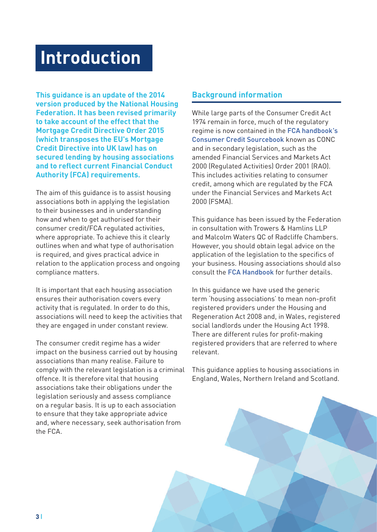### <span id="page-2-0"></span>**Introduction**

**This guidance is an update of the 2014 version produced by the National Housing Federation. It has been revised primarily to take account of the effect that the Mortgage Credit Directive Order 2015 (which transposes the EU's Mortgage Credit Directive into UK law) has on secured lending by housing associations and to reflect current Financial Conduct Authority (FCA) requirements.**

The aim of this guidance is to assist housing associations both in applying the legislation to their businesses and in understanding how and when to get authorised for their consumer credit/FCA regulated activities, where appropriate. To achieve this it clearly outlines when and what type of authorisation is required, and gives practical advice in relation to the application process and ongoing compliance matters.

It is important that each housing association ensures their authorisation covers every activity that is regulated. In order to do this, associations will need to keep the activities that they are engaged in under constant review.

The consumer credit regime has a wider impact on the business carried out by housing associations than many realise. Failure to comply with the relevant legislation is a criminal offence. It is therefore vital that housing associations take their obligations under the legislation seriously and assess compliance on a regular basis. It is up to each association to ensure that they take appropriate advice and, where necessary, seek authorisation from the FCA.

#### **Background information**

While large parts of the Consumer Credit Act 1974 remain in force, much of the regulatory regime is now contained in the [FCA handbook's](https://www.handbook.fca.org.uk/handbook/CONC/1/?view=chapter)  [Consumer Credit Sourcebook](https://www.handbook.fca.org.uk/handbook/CONC/1/?view=chapter) known as CONC and in secondary legislation, such as the amended Financial Services and Markets Act 2000 (Regulated Activities) Order 2001 (RAO). This includes activities relating to consumer credit, among which are regulated by the FCA under the Financial Services and Markets Act 2000 (FSMA).

This guidance has been issued by the Federation in consultation with Trowers & Hamlins LLP and Malcolm Waters QC of Radcliffe Chambers. However, you should obtain legal advice on the application of the legislation to the specifics of your business. Housing associations should also consult the [FCA Handbook](https://www.handbook.fca.org.uk) for further details.

In this guidance we have used the generic term 'housing associations' to mean non-profit registered providers under the Housing and Regeneration Act 2008 and, in Wales, registered social landlords under the Housing Act 1998. There are different rules for profit-making registered providers that are referred to where relevant.

This guidance applies to housing associations in England, Wales, Northern Ireland and Scotland.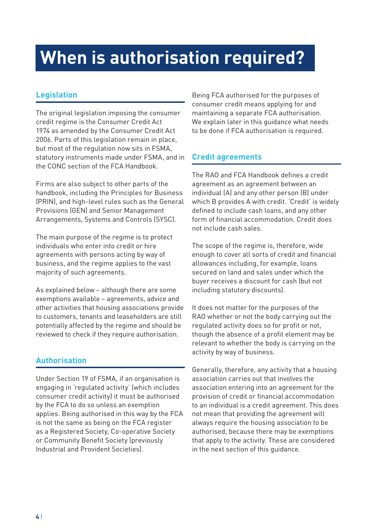## <span id="page-3-0"></span>**When is authorisation required?**

#### **Legislation**

The original legislation imposing the consumer credit regime is the Consumer Credit Act 1974 as amended by the Consumer Credit Act 2006. Parts of this legislation remain in place, but most of the regulation now sits in FSMA, statutory instruments made under FSMA, and in the CONC section of the FCA Handbook.

Firms are also subject to other parts of the handbook, including the Principles for Business (PRIN), and high-level rules such as the General Provisions (GEN) and Senior Management Arrangements, Systems and Controls (SYSC).

The main purpose of the regime is to protect individuals who enter into credit or hire agreements with persons acting by way of business, and the regime applies to the vast majority of such agreements.

As explained below – although there are some exemptions available – agreements, advice and other activities that housing associations provide to customers, tenants and leaseholders are still potentially affected by the regime and should be reviewed to check if they require authorisation.

#### **Authorisation**

Under Section 19 of FSMA, if an organisation is engaging in 'regulated activity' (which includes consumer credit activity) it must be authorised by the FCA to do so unless an exemption applies. Being authorised in this way by the FCA is not the same as being on the FCA register as a Registered Society, Co-operative Society or Community Benefit Society (previously Industrial and Provident Societies).

Being FCA authorised for the purposes of consumer credit means applying for and maintaining a separate FCA authorisation. We explain later in this guidance what needs to be done if FCA authorisation is required.

#### **Credit agreements**

The RAO and FCA Handbook defines a credit agreement as an agreement between an individual (A) and any other person (B) under which B provides A with credit. 'Credit' is widely defined to include cash loans, and any other form of financial accommodation. Credit does not include cash sales.

The scope of the regime is, therefore, wide enough to cover all sorts of credit and financial allowances including, for example, loans secured on land and sales under which the buyer receives a discount for cash (but not including statutory discounts).

It does not matter for the purposes of the RAO whether or not the body carrying out the regulated activity does so for profit or not, though the absence of a profit element may be relevant to whether the body is carrying on the activity by way of business.

Generally, therefore, any activity that a housing association carries out that involves the association entering into an agreement for the provision of credit or financial accommodation to an individual is a credit agreement. This does not mean that providing the agreement will always require the housing association to be authorised, because there may be exemptions that apply to the activity. These are considered in the next section of this guidance.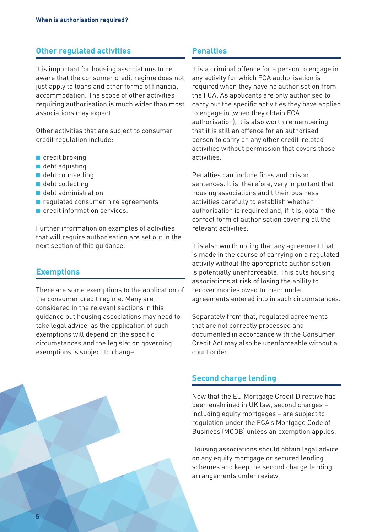#### **Other regulated activities**

It is important for housing associations to be aware that the consumer credit regime does not just apply to loans and other forms of financial accommodation. The scope of other activities requiring authorisation is much wider than most associations may expect.

Other activities that are subject to consumer credit regulation include:

- credit broking
- debt adjusting
- debt counselling
- debt collecting
- debt administration
- regulated consumer hire agreements
- credit information services

Further information on examples of activities that will require authorisation are set out in the next section of this guidance.

#### **Exemptions**

There are some exemptions to the application of the consumer credit regime. Many are considered in the relevant sections in this guidance but housing associations may need to take legal advice, as the application of such exemptions will depend on the specific circumstances and the legislation governing exemptions is subject to change.

#### **Penalties**

It is a criminal offence for a person to engage in any activity for which FCA authorisation is required when they have no authorisation from the FCA. As applicants are only authorised to carry out the specific activities they have applied to engage in (when they obtain FCA authorisation), it is also worth remembering that it is still an offence for an authorised person to carry on any other credit-related activities without permission that covers those activities.

Penalties can include fines and prison sentences. It is, therefore, very important that housing associations audit their business activities carefully to establish whether authorisation is required and, if it is, obtain the correct form of authorisation covering all the relevant activities.

It is also worth noting that any agreement that is made in the course of carrying on a regulated activity without the appropriate authorisation is potentially unenforceable. This puts housing associations at risk of losing the ability to recover monies owed to them under agreements entered into in such circumstances.

Separately from that, regulated agreements that are not correctly processed and documented in accordance with the Consumer Credit Act may also be unenforceable without a court order.

#### **Second charge lending**

Now that the EU Mortgage Credit Directive has been enshrined in UK law, second charges – including equity mortgages – are subject to regulation under the FCA's Mortgage Code of Business (MCOB) unless an exemption applies.

Housing associations should obtain legal advice on any equity mortgage or secured lending schemes and keep the second charge lending arrangements under review.

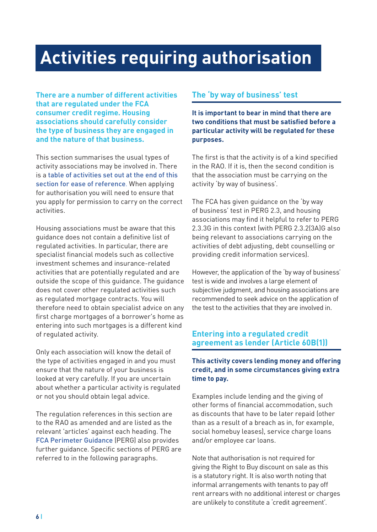## <span id="page-5-0"></span>**Activities requiring authorisation**

**There are a number of different activities that are regulated under the FCA consumer credit regime. Housing associations should carefully consider the type of business they are engaged in and the nature of that business.** 

This section summarises the usual types of activity associations may be involved in. There is a [table of activities set out at the end of this](#page-10-0)  [section for ease of reference](#page-10-0). When applying for authorisation you will need to ensure that you apply for permission to carry on the correct activities.

Housing associations must be aware that this guidance does not contain a definitive list of regulated activities. In particular, there are specialist financial models such as collective investment schemes and insurance-related activities that are potentially regulated and are outside the scope of this guidance. The guidance does not cover other regulated activities such as regulated mortgage contracts. You will therefore need to obtain specialist advice on any first charge mortgages of a borrower's home as entering into such mortgages is a different kind of regulated activity.

Only each association will know the detail of the type of activities engaged in and you must ensure that the nature of your business is looked at very carefully. If you are uncertain about whether a particular activity is regulated or not you should obtain legal advice.

The regulation references in this section are to the RAO as amended and are listed as the relevant 'articles' against each heading. The [FCA Perimeter Guidance](https://www.handbook.fca.org.uk/handbook/PERG/) (PERG) also provides further guidance. Specific sections of PERG are referred to in the following paragraphs.

#### **The 'by way of business' test**

**It is important to bear in mind that there are two conditions that must be satisfied before a particular activity will be regulated for these purposes.**

The first is that the activity is of a kind specified in the RAO. If it is, then the second condition is that the association must be carrying on the activity 'by way of business'.

The FCA has given guidance on the 'by way of business' test in PERG 2.3, and housing associations may find it helpful to refer to PERG 2.3.3G in this context (with PERG 2.3.2(3A)G also being relevant to associations carrying on the activities of debt adjusting, debt counselling or providing credit information services).

However, the application of the 'by way of business' test is wide and involves a large element of subjective judgment, and housing associations are recommended to seek advice on the application of the test to the activities that they are involved in.

#### **Entering into a regulated credit agreement as lender (Article 60B(1))**

#### **This activity covers lending money and offering credit, and in some circumstances giving extra time to pay.**

Examples include lending and the giving of other forms of financial accommodation, such as discounts that have to be later repaid (other than as a result of a breach as in, for example, social homebuy leases), service charge loans and/or employee car loans.

Note that authorisation is not required for giving the Right to Buy discount on sale as this is a statutory right. It is also worth noting that informal arrangements with tenants to pay off rent arrears with no additional interest or charges are unlikely to constitute a 'credit agreement'.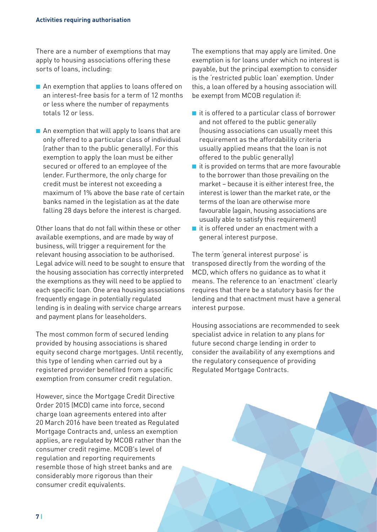There are a number of exemptions that may apply to housing associations offering these sorts of loans, including:

- An exemption that applies to loans offered on an interest-free basis for a term of 12 months or less where the number of repayments totals 12 or less.
- An exemption that will apply to loans that are only offered to a particular class of individual (rather than to the public generally). For this exemption to apply the loan must be either secured or offered to an employee of the lender. Furthermore, the only charge for credit must be interest not exceeding a maximum of 1% above the base rate of certain banks named in the legislation as at the date falling 28 days before the interest is charged.

Other loans that do not fall within these or other available exemptions, and are made by way of business, will trigger a requirement for the relevant housing association to be authorised. Legal advice will need to be sought to ensure that the housing association has correctly interpreted the exemptions as they will need to be applied to each specific loan. One area housing associations frequently engage in potentially regulated lending is in dealing with service charge arrears and payment plans for leaseholders.

The most common form of secured lending provided by housing associations is shared equity second charge mortgages. Until recently, this type of lending when carried out by a registered provider benefited from a specific exemption from consumer credit regulation.

However, since the Mortgage Credit Directive Order 2015 (MCD) came into force, second charge loan agreements entered into after 20 March 2016 have been treated as Regulated Mortgage Contracts and, unless an exemption applies, are regulated by MCOB rather than the consumer credit regime. MCOB's level of regulation and reporting requirements resemble those of high street banks and are considerably more rigorous than their consumer credit equivalents.

The exemptions that may apply are limited. One exemption is for loans under which no interest is payable, but the principal exemption to consider is the 'restricted public loan' exemption. Under this, a loan offered by a housing association will be exempt from MCOB regulation if:

- $\blacksquare$  it is offered to a particular class of borrower and not offered to the public generally (housing associations can usually meet this requirement as the affordability criteria usually applied means that the loan is not offered to the public generally)
- $\blacksquare$  it is provided on terms that are more favourable to the borrower than those prevailing on the market – because it is either interest free, the interest is lower than the market rate, or the terms of the loan are otherwise more favourable (again, housing associations are usually able to satisfy this requirement)
- it is offered under an enactment with a general interest purpose.

The term 'general interest purpose' is transposed directly from the wording of the MCD, which offers no guidance as to what it means. The reference to an 'enactment' clearly requires that there be a statutory basis for the lending and that enactment must have a general interest purpose.

Housing associations are recommended to seek specialist advice in relation to any plans for future second charge lending in order to consider the availability of any exemptions and the regulatory consequence of providing Regulated Mortgage Contracts.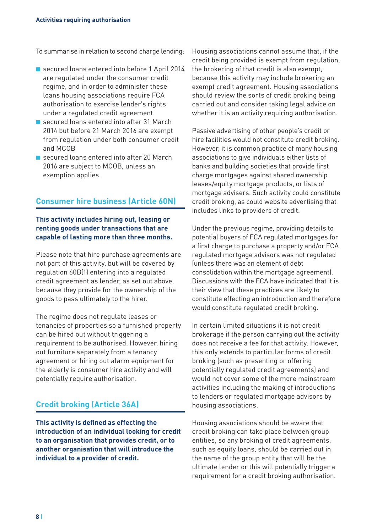To summarise in relation to second charge lending:

- secured loans entered into before 1 April 2014 are regulated under the consumer credit regime, and in order to administer these loans housing associations require FCA authorisation to exercise lender's rights under a regulated credit agreement
- secured loans entered into after 31 March 2014 but before 21 March 2016 are exempt from regulation under both consumer credit and MCOB
- secured loans entered into after 20 March 2016 are subject to MCOB, unless an exemption applies.

#### **Consumer hire business (Article 60N)**

#### **This activity includes hiring out, leasing or renting goods under transactions that are capable of lasting more than three months.**

Please note that hire purchase agreements are not part of this activity, but will be covered by regulation 60B(1) entering into a regulated credit agreement as lender, as set out above, because they provide for the ownership of the goods to pass ultimately to the hirer.

The regime does not regulate leases or tenancies of properties so a furnished property can be hired out without triggering a requirement to be authorised. However, hiring out furniture separately from a tenancy agreement or hiring out alarm equipment for the elderly is consumer hire activity and will potentially require authorisation.

#### **Credit broking (Article 36A)**

**This activity is defined as effecting the introduction of an individual looking for credit to an organisation that provides credit, or to another organisation that will introduce the individual to a provider of credit.** 

Housing associations cannot assume that, if the credit being provided is exempt from regulation, the brokering of that credit is also exempt, because this activity may include brokering an exempt credit agreement. Housing associations should review the sorts of credit broking being carried out and consider taking legal advice on whether it is an activity requiring authorisation.

Passive advertising of other people's credit or hire facilities would not constitute credit broking. However, it is common practice of many housing associations to give individuals either lists of banks and building societies that provide first charge mortgages against shared ownership leases/equity mortgage products, or lists of mortgage advisers. Such activity could constitute credit broking, as could website advertising that includes links to providers of credit.

Under the previous regime, providing details to potential buyers of FCA regulated mortgages for a first charge to purchase a property and/or FCA regulated mortgage advisors was not regulated (unless there was an element of debt consolidation within the mortgage agreement). Discussions with the FCA have indicated that it is their view that these practices are likely to constitute effecting an introduction and therefore would constitute regulated credit broking.

In certain limited situations it is not credit brokerage if the person carrying out the activity does not receive a fee for that activity. However, this only extends to particular forms of credit broking (such as presenting or offering potentially regulated credit agreements) and would not cover some of the more mainstream activities including the making of introductions to lenders or regulated mortgage advisors by housing associations.

Housing associations should be aware that credit broking can take place between group entities, so any broking of credit agreements, such as equity loans, should be carried out in the name of the group entity that will be the ultimate lender or this will potentially trigger a requirement for a credit broking authorisation.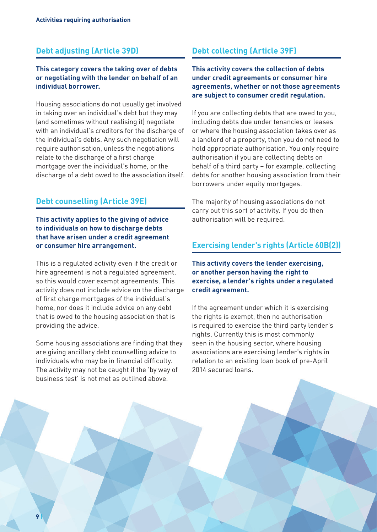#### **Debt adjusting (Article 39D)**

#### **This category covers the taking over of debts or negotiating with the lender on behalf of an individual borrower.**

Housing associations do not usually get involved in taking over an individual's debt but they may (and sometimes without realising it) negotiate with an individual's creditors for the discharge of the individual's debts. Any such negotiation will require authorisation, unless the negotiations relate to the discharge of a first charge mortgage over the individual's home, or the discharge of a debt owed to the association itself.

#### **Debt counselling (Article 39E)**

**This activity applies to the giving of advice to individuals on how to discharge debts that have arisen under a credit agreement or consumer hire arrangement.** 

This is a regulated activity even if the credit or hire agreement is not a regulated agreement, so this would cover exempt agreements. This activity does not include advice on the discharge of first charge mortgages of the individual's home, nor does it include advice on any debt that is owed to the housing association that is providing the advice.

Some housing associations are finding that they are giving ancillary debt counselling advice to individuals who may be in financial difficulty. The activity may not be caught if the 'by way of business test' is not met as outlined above.

#### **Debt collecting (Article 39F)**

**This activity covers the collection of debts under credit agreements or consumer hire agreements, whether or not those agreements are subject to consumer credit regulation.** 

If you are collecting debts that are owed to you, including debts due under tenancies or leases or where the housing association takes over as a landlord of a property, then you do not need to hold appropriate authorisation. You only require authorisation if you are collecting debts on behalf of a third party – for example, collecting debts for another housing association from their borrowers under equity mortgages.

The majority of housing associations do not carry out this sort of activity. If you do then authorisation will be required.

#### **Exercising lender's rights (Article 60B(2))**

**This activity covers the lender exercising, or another person having the right to exercise, a lender's rights under a regulated credit agreement.** 

If the agreement under which it is exercising the rights is exempt, then no authorisation is required to exercise the third party lender's rights. Currently this is most commonly seen in the housing sector, where housing associations are exercising lender's rights in relation to an existing loan book of pre-April 2014 secured loans.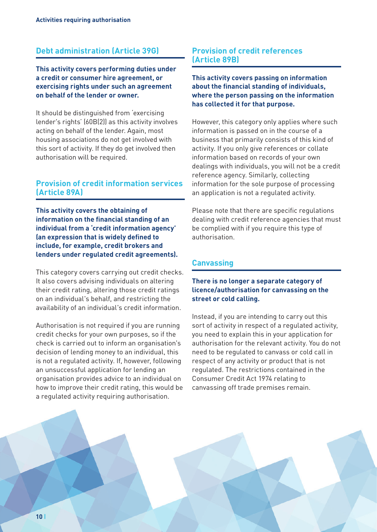#### **Debt administration (Article 39G)**

**This activity covers performing duties under a credit or consumer hire agreement, or exercising rights under such an agreement on behalf of the lender or owner.** 

It should be distinguished from 'exercising lender's rights' (60B(2)) as this activity involves acting on behalf of the lender. Again, most housing associations do not get involved with this sort of activity. If they do get involved then authorisation will be required.

#### **Provision of credit information services (Article 89A)**

**This activity covers the obtaining of information on the financial standing of an individual from a 'credit information agency' (an expression that is widely defined to include, for example, credit brokers and lenders under regulated credit agreements).** 

This category covers carrying out credit checks. It also covers advising individuals on altering their credit rating, altering those credit ratings on an individual's behalf, and restricting the availability of an individual's credit information.

Authorisation is not required if you are running credit checks for your own purposes, so if the check is carried out to inform an organisation's decision of lending money to an individual, this is not a regulated activity. If, however, following an unsuccessful application for lending an organisation provides advice to an individual on how to improve their credit rating, this would be a regulated activity requiring authorisation.

#### **Provision of credit references (Article 89B)**

**This activity covers passing on information about the financial standing of individuals, where the person passing on the information has collected it for that purpose.** 

However, this category only applies where such information is passed on in the course of a business that primarily consists of this kind of activity. If you only give references or collate information based on records of your own dealings with individuals, you will not be a credit reference agency. Similarly, collecting information for the sole purpose of processing an application is not a regulated activity.

Please note that there are specific regulations dealing with credit reference agencies that must be complied with if you require this type of authorisation.

#### **Canvassing**

#### **There is no longer a separate category of licence/authorisation for canvassing on the street or cold calling.**

Instead, if you are intending to carry out this sort of activity in respect of a regulated activity, you need to explain this in your application for authorisation for the relevant activity. You do not need to be regulated to canvass or cold call in respect of any activity or product that is not regulated. The restrictions contained in the Consumer Credit Act 1974 relating to canvassing off trade premises remain.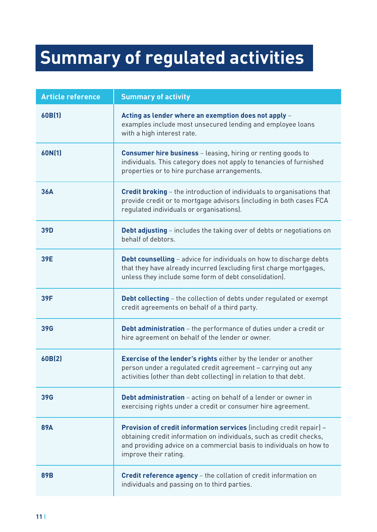## <span id="page-10-0"></span>**Summary of regulated activities**

| <b>Article reference</b> | <b>Summary of activity</b>                                                                                                                                                                                                                  |
|--------------------------|---------------------------------------------------------------------------------------------------------------------------------------------------------------------------------------------------------------------------------------------|
| 60B(1)                   | Acting as lender where an exemption does not apply -<br>examples include most unsecured lending and employee loans<br>with a high interest rate.                                                                                            |
| 60N(1)                   | <b>Consumer hire business</b> - leasing, hiring or renting goods to<br>individuals. This category does not apply to tenancies of furnished<br>properties or to hire purchase arrangements.                                                  |
| <b>36A</b>               | <b>Credit broking</b> - the introduction of individuals to organisations that<br>provide credit or to mortgage advisors (including in both cases FCA<br>regulated individuals or organisations).                                            |
| <b>39D</b>               | <b>Debt adjusting</b> - includes the taking over of debts or negotiations on<br>behalf of debtors.                                                                                                                                          |
| 39E                      | <b>Debt counselling</b> - advice for individuals on how to discharge debts<br>that they have already incurred (excluding first charge mortgages,<br>unless they include some form of debt consolidation).                                   |
| 39F                      | <b>Debt collecting</b> - the collection of debts under regulated or exempt<br>credit agreements on behalf of a third party.                                                                                                                 |
| <b>39G</b>               | Debt administration - the performance of duties under a credit or<br>hire agreement on behalf of the lender or owner.                                                                                                                       |
| 60B(2)                   | <b>Exercise of the lender's rights either by the lender or another</b><br>person under a regulated credit agreement - carrying out any<br>activities (other than debt collecting) in relation to that debt.                                 |
| <b>39G</b>               | <b>Debt administration</b> - acting on behalf of a lender or owner in<br>exercising rights under a credit or consumer hire agreement.                                                                                                       |
| <b>89A</b>               | Provision of credit information services (including credit repair) -<br>obtaining credit information on individuals, such as credit checks,<br>and providing advice on a commercial basis to individuals on how to<br>improve their rating. |
| <b>89B</b>               | Credit reference agency - the collation of credit information on<br>individuals and passing on to third parties.                                                                                                                            |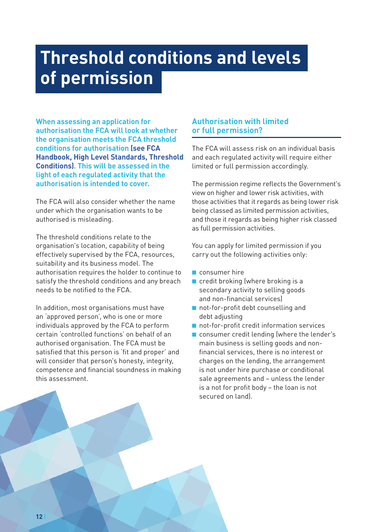## <span id="page-11-0"></span>**Threshold conditions and levels of permission**

**When assessing an application for authorisation the FCA will look at whether the organisation meets the FCA threshold conditions for authorisation [\(see FCA](https://www.handbook.fca.org.uk/handbook/COND/1/?view=chapter)  [Handbook, High Level Standards, Threshold](https://www.handbook.fca.org.uk/handbook/COND/1/?view=chapter)  [Conditions\).](https://www.handbook.fca.org.uk/handbook/COND/1/?view=chapter) This will be assessed in the light of each regulated activity that the authorisation is intended to cover.** 

The FCA will also consider whether the name under which the organisation wants to be authorised is misleading.

The threshold conditions relate to the organisation's location, capability of being effectively supervised by the FCA, resources, suitability and its business model. The authorisation requires the holder to continue to satisfy the threshold conditions and any breach needs to be notified to the FCA.

In addition, most organisations must have an 'approved person', who is one or more individuals approved by the FCA to perform certain 'controlled functions' on behalf of an authorised organisation. The FCA must be satisfied that this person is 'fit and proper' and will consider that person's honesty, integrity, competence and financial soundness in making this assessment.

#### **Authorisation with limited or full permission?**

The FCA will assess risk on an individual basis and each regulated activity will require either limited or full permission accordingly.

The permission regime reflects the Government's view on higher and lower risk activities, with those activities that it regards as being lower risk being classed as limited permission activities, and those it regards as being higher risk classed as full permission activities.

You can apply for limited permission if you carry out the following activities only:

- consumer hire
- credit broking (where broking is a secondary activity to selling goods and non-financial services)
- not-for-profit debt counselling and debt adjusting
- not-for-profit credit information services
- consumer credit lending (where the lender's main business is selling goods and nonfinancial services, there is no interest or charges on the lending, the arrangement is not under hire purchase or conditional sale agreements and – unless the lender is a not for profit body – the loan is not secured on land).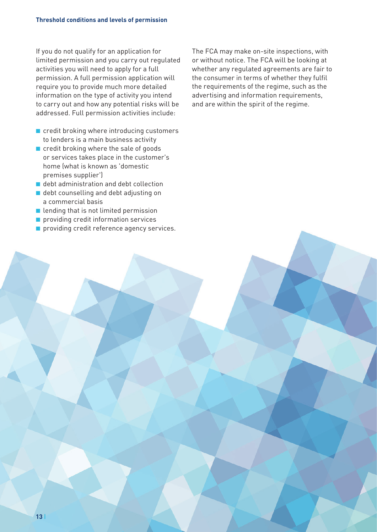If you do not qualify for an application for limited permission and you carry out regulated activities you will need to apply for a full permission. A full permission application will require you to provide much more detailed information on the type of activity you intend to carry out and how any potential risks will be addressed. Full permission activities include:

- credit broking where introducing customers to lenders is a main business activity
- credit broking where the sale of goods or services takes place in the customer's home (what is known as 'domestic premises supplier')
- debt administration and debt collection
- debt counselling and debt adjusting on a commercial basis
- lending that is not limited permission
- providing credit information services
- providing credit reference agency services.

The FCA may make on-site inspections, with or without notice. The FCA will be looking at whether any regulated agreements are fair to the consumer in terms of whether they fulfil the requirements of the regime, such as the advertising and information requirements, and are within the spirit of the regime.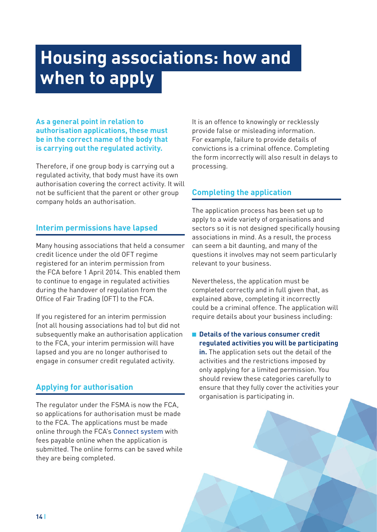## <span id="page-13-0"></span>**Housing associations: how and when to apply**

#### **As a general point in relation to authorisation applications, these must be in the correct name of the body that is carrying out the regulated activity.**

Therefore, if one group body is carrying out a regulated activity, that body must have its own authorisation covering the correct activity. It will not be sufficient that the parent or other group company holds an authorisation.

#### **Interim permissions have lapsed**

Many housing associations that held a consumer credit licence under the old OFT regime registered for an interim permission from the FCA before 1 April 2014. This enabled them to continue to engage in regulated activities during the handover of regulation from the Office of Fair Trading (OFT) to the FCA.

If you registered for an interim permission (not all housing associations had to) but did not subsequently make an authorisation application to the FCA, your interim permission will have lapsed and you are no longer authorised to engage in consumer credit regulated activity.

#### **Applying for authorisation**

The regulator under the FSMA is now the FCA, so applications for authorisation must be made to the FCA. The applications must be made online through the FCA's [Connect system](https://connect.fca.org.uk/firms/AuPo_SiteLogin) with fees payable online when the application is submitted. The online forms can be saved while they are being completed.

It is an offence to knowingly or recklessly provide false or misleading information. For example, failure to provide details of convictions is a criminal offence. Completing the form incorrectly will also result in delays to processing.

#### **Completing the application**

The application process has been set up to apply to a wide variety of organisations and sectors so it is not designed specifically housing associations in mind. As a result, the process can seem a bit daunting, and many of the questions it involves may not seem particularly relevant to your business.

Nevertheless, the application must be completed correctly and in full given that, as explained above, completing it incorrectly could be a criminal offence. The application will require details about your business including:

■ **Details of the various consumer credit regulated activities you will be participating in.** The application sets out the detail of the activities and the restrictions imposed by only applying for a limited permission. You should review these categories carefully to ensure that they fully cover the activities your

organisation is participating in.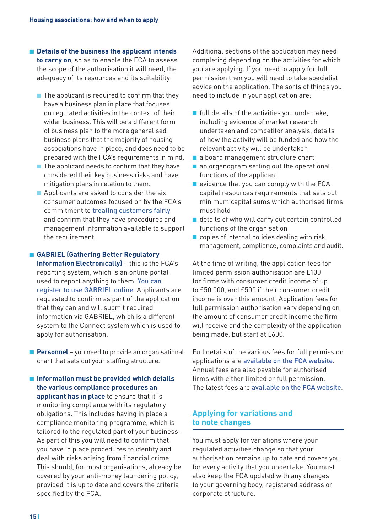- **Details of the business the applicant intends to carry on**, so as to enable the FCA to assess the scope of the authorisation it will need, the adequacy of its resources and its suitability:
	- $\blacksquare$  The applicant is required to confirm that they have a business plan in place that focuses on regulated activities in the context of their wider business. This will be a different form of business plan to the more generalised business plans that the majority of housing associations have in place, and does need to be prepared with the FCA's requirements in mind.
	- The applicant needs to confirm that they have considered their key business risks and have mitigation plans in relation to them.
	- Applicants are asked to consider the six consumer outcomes focused on by the FCA's commitment to [treating customers fairly](https://www.fca.org.uk/firms/fair-treatment-customers) and confirm that they have procedures and management information available to support the requirement.

#### ■ **GABRIEL (Gathering Better Regulatory**

**Information Electronically)** – this is the FCA's reporting system, which is an online portal used to report anything to them. [You can](https://www.fca.org.uk/firms/gabriel)  [register to use GABRIEL online](https://www.fca.org.uk/firms/gabriel). Applicants are requested to confirm as part of the application that they can and will submit required information via GABRIEL, which is a different system to the Connect system which is used to apply for authorisation.

■ **Personnel** – you need to provide an organisational chart that sets out your staffing structure.

■ **Information must be provided which details the various compliance procedures an applicant has in place** to ensure that it is monitoring compliance with its regulatory obligations. This includes having in place a compliance monitoring programme, which is tailored to the regulated part of your business. As part of this you will need to confirm that you have in place procedures to identify and deal with risks arising from financial crime. This should, for most organisations, already be covered by your anti-money laundering policy, provided it is up to date and covers the criteria specified by the FCA.

Additional sections of the application may need completing depending on the activities for which you are applying. If you need to apply for full permission then you will need to take specialist advice on the application. The sorts of things you need to include in your application are:

- $\blacksquare$  full details of the activities you undertake, including evidence of market research undertaken and competitor analysis, details of how the activity will be funded and how the relevant activity will be undertaken
- a board management structure chart
- an organogram setting out the operational functions of the applicant
- evidence that you can comply with the FCA capital resources requirements that sets out minimum capital sums which authorised firms must hold
- details of who will carry out certain controlled functions of the organisation
- $\blacksquare$  copies of internal policies dealing with risk management, compliance, complaints and audit.

At the time of writing, the application fees for limited permission authorisation are £100 for firms with consumer credit income of up to £50,000, and £500 if their consumer credit income is over this amount. Application fees for full permission authorisation vary depending on the amount of consumer credit income the firm will receive and the complexity of the application being made, but start at £600.

Full details of the various fees for full permission applications are [available on the FCA website](https://www.fca.org.uk/firms/authorisation/consumer-credit/application-fees). Annual fees are also payable for authorised firms with either limited or full permission. The latest fees are [available on the FCA website](https://www.fca.org.uk/firms/fees/consumer-credit/annual-fees).

#### **Applying for variations and to note changes**

You must apply for variations where your regulated activities change so that your authorisation remains up to date and covers you for every activity that you undertake. You must also keep the FCA updated with any changes to your governing body, registered address or corporate structure.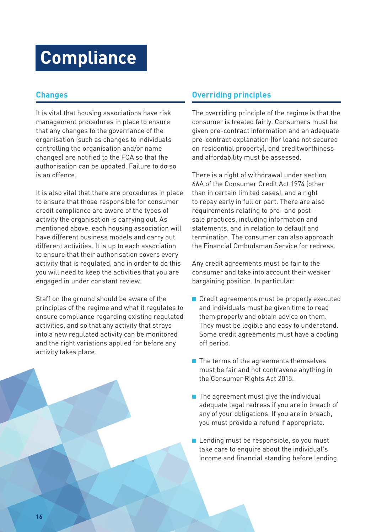## <span id="page-15-0"></span>**Compliance**

#### **Changes**

It is vital that housing associations have risk management procedures in place to ensure that any changes to the governance of the organisation (such as changes to individuals controlling the organisation and/or name changes) are notified to the FCA so that the authorisation can be updated. Failure to do so is an offence.

It is also vital that there are procedures in place to ensure that those responsible for consumer credit compliance are aware of the types of activity the organisation is carrying out. As mentioned above, each housing association will have different business models and carry out different activities. It is up to each association to ensure that their authorisation covers every activity that is regulated, and in order to do this you will need to keep the activities that you are engaged in under constant review.

Staff on the ground should be aware of the principles of the regime and what it regulates to ensure compliance regarding existing regulated activities, and so that any activity that strays into a new regulated activity can be monitored and the right variations applied for before any activity takes place.

#### **Overriding principles**

The overriding principle of the regime is that the consumer is treated fairly. Consumers must be given pre-contract information and an adequate pre-contract explanation (for loans not secured on residential property), and creditworthiness and affordability must be assessed.

There is a right of withdrawal under section 66A of the Consumer Credit Act 1974 (other than in certain limited cases), and a right to repay early in full or part. There are also requirements relating to pre- and postsale practices, including information and statements, and in relation to default and termination. The consumer can also approach the Financial Ombudsman Service for redress.

Any credit agreements must be fair to the consumer and take into account their weaker bargaining position. In particular:

- Credit agreements must be properly executed and individuals must be given time to read them properly and obtain advice on them. They must be legible and easy to understand. Some credit agreements must have a cooling off period.
- The terms of the agreements themselves must be fair and not contravene anything in the Consumer Rights Act 2015.
- The agreement must give the individual adequate legal redress if you are in breach of any of your obligations. If you are in breach, you must provide a refund if appropriate.
- Lending must be responsible, so you must take care to enquire about the individual's income and financial standing before lending.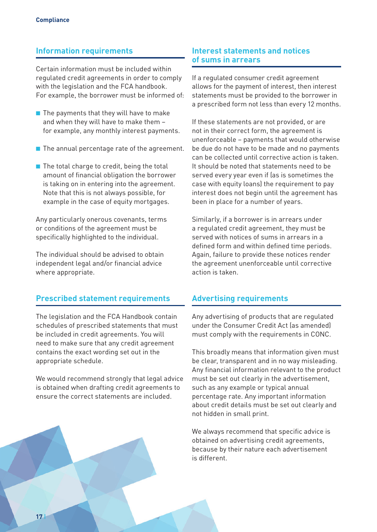#### **Information requirements**

Certain information must be included within regulated credit agreements in order to comply with the legislation and the FCA handbook. For example, the borrower must be informed of:

- The payments that they will have to make and when they will have to make them – for example, any monthly interest payments.
- The annual percentage rate of the agreement.
- The total charge to credit, being the total amount of financial obligation the borrower is taking on in entering into the agreement. Note that this is not always possible, for example in the case of equity mortgages.

Any particularly onerous covenants, terms or conditions of the agreement must be specifically highlighted to the individual.

The individual should be advised to obtain independent legal and/or financial advice where appropriate.

#### **Prescribed statement requirements**

The legislation and the FCA Handbook contain schedules of prescribed statements that must be included in credit agreements. You will need to make sure that any credit agreement contains the exact wording set out in the appropriate schedule.

We would recommend strongly that legal advice is obtained when drafting credit agreements to ensure the correct statements are included.

#### **Interest statements and notices of sums in arrears**

If a regulated consumer credit agreement allows for the payment of interest, then interest statements must be provided to the borrower in a prescribed form not less than every 12 months.

If these statements are not provided, or are not in their correct form, the agreement is unenforceable – payments that would otherwise be due do not have to be made and no payments can be collected until corrective action is taken. It should be noted that statements need to be served every year even if (as is sometimes the case with equity loans) the requirement to pay interest does not begin until the agreement has been in place for a number of years.

Similarly, if a borrower is in arrears under a regulated credit agreement, they must be served with notices of sums in arrears in a defined form and within defined time periods. Again, failure to provide these notices render the agreement unenforceable until corrective action is taken.

#### **Advertising requirements**

Any advertising of products that are regulated under the Consumer Credit Act (as amended) must comply with the requirements in CONC.

This broadly means that information given must be clear, transparent and in no way misleading. Any financial information relevant to the product must be set out clearly in the advertisement, such as any example or typical annual percentage rate. Any important information about credit details must be set out clearly and not hidden in small print.

We always recommend that specific advice is obtained on advertising credit agreements, because by their nature each advertisement is different.